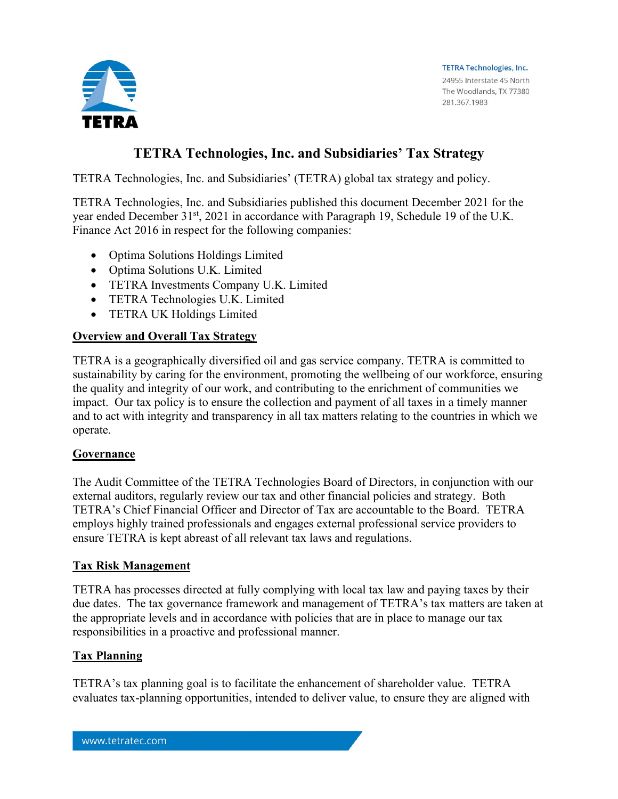

**TETRA Technologies, Inc.** 24955 Interstate 45 North The Woodlands, TX 77380 281.367.1983

# **TETRA Technologies, Inc. and Subsidiaries' Tax Strategy**

TETRA Technologies, Inc. and Subsidiaries' (TETRA) global tax strategy and policy.

TETRA Technologies, Inc. and Subsidiaries published this document December 2021 for the year ended December 31<sup>st</sup>, 2021 in accordance with Paragraph 19, Schedule 19 of the U.K. Finance Act 2016 in respect for the following companies:

- Optima Solutions Holdings Limited
- Optima Solutions U.K. Limited
- TETRA Investments Company U.K. Limited
- TETRA Technologies U.K. Limited
- TETRA UK Holdings Limited

## **Overview and Overall Tax Strategy**

TETRA is a geographically diversified oil and gas service company. TETRA is committed to sustainability by caring for the environment, promoting the wellbeing of our workforce, ensuring the quality and integrity of our work, and contributing to the enrichment of communities we impact. Our tax policy is to ensure the collection and payment of all taxes in a timely manner and to act with integrity and transparency in all tax matters relating to the countries in which we operate.

#### **Governance**

The Audit Committee of the TETRA Technologies Board of Directors, in conjunction with our external auditors, regularly review our tax and other financial policies and strategy. Both TETRA's Chief Financial Officer and Director of Tax are accountable to the Board. TETRA employs highly trained professionals and engages external professional service providers to ensure TETRA is kept abreast of all relevant tax laws and regulations.

## **Tax Risk Management**

TETRA has processes directed at fully complying with local tax law and paying taxes by their due dates. The tax governance framework and management of TETRA's tax matters are taken at the appropriate levels and in accordance with policies that are in place to manage our tax responsibilities in a proactive and professional manner.

#### **Tax Planning**

TETRA's tax planning goal is to facilitate the enhancement of shareholder value. TETRA evaluates tax-planning opportunities, intended to deliver value, to ensure they are aligned with